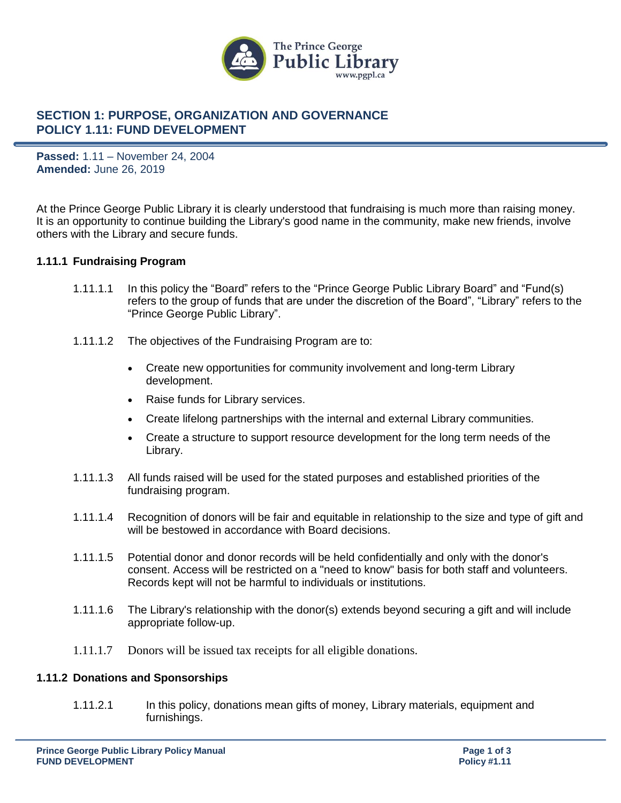

# **SECTION 1: PURPOSE, ORGANIZATION AND GOVERNANCE POLICY 1.11: FUND DEVELOPMENT**

**Passed:** 1.11 – November 24, 2004 **Amended:** June 26, 2019

At the Prince George Public Library it is clearly understood that fundraising is much more than raising money. It is an opportunity to continue building the Library's good name in the community, make new friends, involve others with the Library and secure funds.

### **1.11.1 Fundraising Program**

- 1.11.1.1 In this policy the "Board" refers to the "Prince George Public Library Board" and "Fund(s) refers to the group of funds that are under the discretion of the Board", "Library" refers to the "Prince George Public Library".
- 1.11.1.2 The objectives of the Fundraising Program are to:
	- Create new opportunities for community involvement and long-term Library development.
	- Raise funds for Library services.
	- Create lifelong partnerships with the internal and external Library communities.
	- Create a structure to support resource development for the long term needs of the Library.
- 1.11.1.3 All funds raised will be used for the stated purposes and established priorities of the fundraising program.
- 1.11.1.4 Recognition of donors will be fair and equitable in relationship to the size and type of gift and will be bestowed in accordance with Board decisions.
- 1.11.1.5 Potential donor and donor records will be held confidentially and only with the donor's consent. Access will be restricted on a "need to know" basis for both staff and volunteers. Records kept will not be harmful to individuals or institutions.
- 1.11.1.6 The Library's relationship with the donor(s) extends beyond securing a gift and will include appropriate follow-up.
- 1.11.1.7 Donors will be issued tax receipts for all eligible donations.

#### **1.11.2 Donations and Sponsorships**

1.11.2.1 In this policy, donations mean gifts of money, Library materials, equipment and furnishings.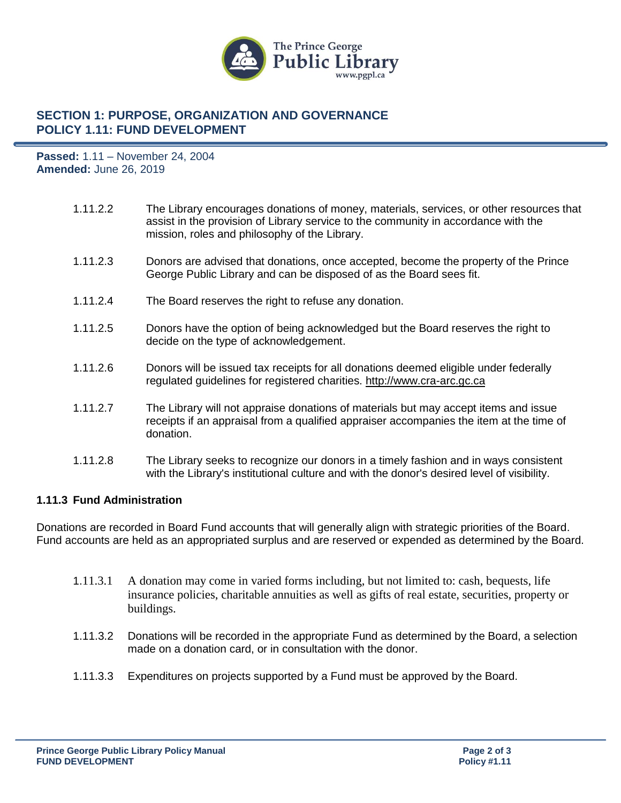

# **SECTION 1: PURPOSE, ORGANIZATION AND GOVERNANCE POLICY 1.11: FUND DEVELOPMENT**

**Passed:** 1.11 – November 24, 2004 **Amended:** June 26, 2019

- 1.11.2.2 The Library encourages donations of money, materials, services, or other resources that assist in the provision of Library service to the community in accordance with the mission, roles and philosophy of the Library.
- 1.11.2.3 Donors are advised that donations, once accepted, become the property of the Prince George Public Library and can be disposed of as the Board sees fit.
- 1.11.2.4 The Board reserves the right to refuse any donation.
- 1.11.2.5 Donors have the option of being acknowledged but the Board reserves the right to decide on the type of acknowledgement.
- 1.11.2.6 Donors will be issued tax receipts for all donations deemed eligible under federally regulated guidelines for registered charities. [http://www.cra-arc.gc.ca](http://www.cra-arc.gc.ca/)
- 1.11.2.7 The Library will not appraise donations of materials but may accept items and issue receipts if an appraisal from a qualified appraiser accompanies the item at the time of donation.
- 1.11.2.8 The Library seeks to recognize our donors in a timely fashion and in ways consistent with the Library's institutional culture and with the donor's desired level of visibility.

### **1.11.3 Fund Administration**

Donations are recorded in Board Fund accounts that will generally align with strategic priorities of the Board. Fund accounts are held as an appropriated surplus and are reserved or expended as determined by the Board.

- 1.11.3.1 A donation may come in varied forms including, but not limited to: cash, bequests, life insurance policies, charitable annuities as well as gifts of real estate, securities, property or buildings.
- 1.11.3.2 Donations will be recorded in the appropriate Fund as determined by the Board, a selection made on a donation card, or in consultation with the donor.
- 1.11.3.3 Expenditures on projects supported by a Fund must be approved by the Board.